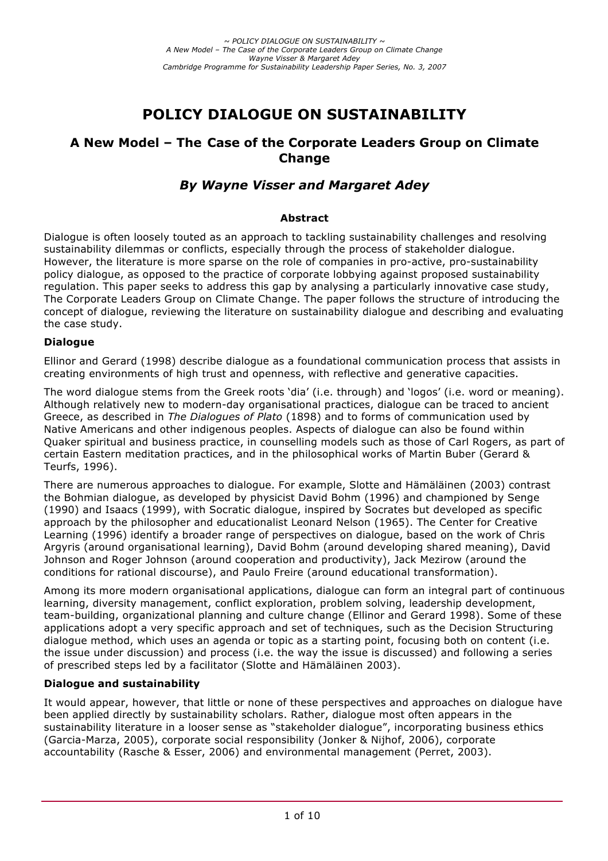# **POLICY DIALOGUE ON SUSTAINABILITY**

# **A New Model – The Case of the Corporate Leaders Group on Climate Change**

# *By Wayne Visser and Margaret Adey*

### **Abstract**

Dialogue is often loosely touted as an approach to tackling sustainability challenges and resolving sustainability dilemmas or conflicts, especially through the process of stakeholder dialogue. However, the literature is more sparse on the role of companies in pro-active, pro-sustainability policy dialogue, as opposed to the practice of corporate lobbying against proposed sustainability regulation. This paper seeks to address this gap by analysing a particularly innovative case study, The Corporate Leaders Group on Climate Change. The paper follows the structure of introducing the concept of dialogue, reviewing the literature on sustainability dialogue and describing and evaluating the case study.

# **Dialogue**

Ellinor and Gerard (1998) describe dialogue as a foundational communication process that assists in creating environments of high trust and openness, with reflective and generative capacities.

The word dialogue stems from the Greek roots 'dia' (i.e. through) and 'logos' (i.e. word or meaning). Although relatively new to modern-day organisational practices, dialogue can be traced to ancient Greece, as described in *The Dialogues of Plato* (1898) and to forms of communication used by Native Americans and other indigenous peoples. Aspects of dialogue can also be found within Quaker spiritual and business practice, in counselling models such as those of Carl Rogers, as part of certain Eastern meditation practices, and in the philosophical works of Martin Buber (Gerard & Teurfs, 1996).

There are numerous approaches to dialogue. For example, Slotte and Hämäläinen (2003) contrast the Bohmian dialogue, as developed by physicist David Bohm (1996) and championed by Senge (1990) and Isaacs (1999), with Socratic dialogue, inspired by Socrates but developed as specific approach by the philosopher and educationalist Leonard Nelson (1965). The Center for Creative Learning (1996) identify a broader range of perspectives on dialogue, based on the work of Chris Argyris (around organisational learning), David Bohm (around developing shared meaning), David Johnson and Roger Johnson (around cooperation and productivity), Jack Mezirow (around the conditions for rational discourse), and Paulo Freire (around educational transformation).

Among its more modern organisational applications, dialogue can form an integral part of continuous learning, diversity management, conflict exploration, problem solving, leadership development, team-building, organizational planning and culture change (Ellinor and Gerard 1998). Some of these applications adopt a very specific approach and set of techniques, such as the Decision Structuring dialogue method, which uses an agenda or topic as a starting point, focusing both on content (i.e. the issue under discussion) and process (i.e. the way the issue is discussed) and following a series of prescribed steps led by a facilitator (Slotte and Hämäläinen 2003).

# **Dialogue and sustainability**

It would appear, however, that little or none of these perspectives and approaches on dialogue have been applied directly by sustainability scholars. Rather, dialogue most often appears in the sustainability literature in a looser sense as "stakeholder dialogue", incorporating business ethics (Garcia-Marza, 2005), corporate social responsibility (Jonker & Nijhof, 2006), corporate accountability (Rasche & Esser, 2006) and environmental management (Perret, 2003).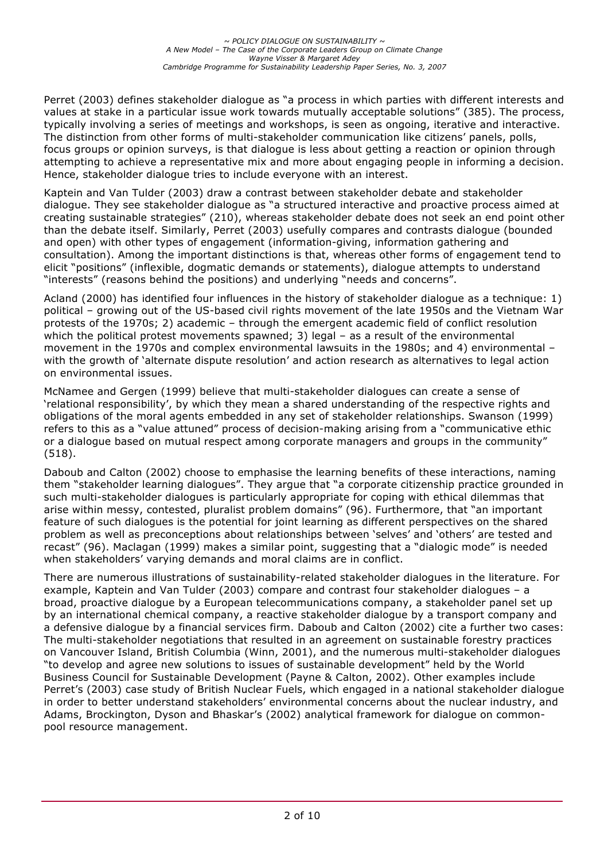Perret (2003) defines stakeholder dialogue as "a process in which parties with different interests and values at stake in a particular issue work towards mutually acceptable solutions" (385). The process, typically involving a series of meetings and workshops, is seen as ongoing, iterative and interactive. The distinction from other forms of multi-stakeholder communication like citizens' panels, polls, focus groups or opinion surveys, is that dialogue is less about getting a reaction or opinion through attempting to achieve a representative mix and more about engaging people in informing a decision. Hence, stakeholder dialogue tries to include everyone with an interest.

Kaptein and Van Tulder (2003) draw a contrast between stakeholder debate and stakeholder dialogue. They see stakeholder dialogue as "a structured interactive and proactive process aimed at creating sustainable strategies" (210), whereas stakeholder debate does not seek an end point other than the debate itself. Similarly, Perret (2003) usefully compares and contrasts dialogue (bounded and open) with other types of engagement (information-giving, information gathering and consultation). Among the important distinctions is that, whereas other forms of engagement tend to elicit "positions" (inflexible, dogmatic demands or statements), dialogue attempts to understand "interests" (reasons behind the positions) and underlying "needs and concerns".

Acland (2000) has identified four influences in the history of stakeholder dialogue as a technique: 1) political – growing out of the US-based civil rights movement of the late 1950s and the Vietnam War protests of the 1970s; 2) academic – through the emergent academic field of conflict resolution which the political protest movements spawned; 3) legal – as a result of the environmental movement in the 1970s and complex environmental lawsuits in the 1980s; and 4) environmental – with the growth of 'alternate dispute resolution' and action research as alternatives to legal action on environmental issues.

McNamee and Gergen (1999) believe that multi-stakeholder dialogues can create a sense of 'relational responsibility', by which they mean a shared understanding of the respective rights and obligations of the moral agents embedded in any set of stakeholder relationships. Swanson (1999) refers to this as a "value attuned" process of decision-making arising from a "communicative ethic or a dialogue based on mutual respect among corporate managers and groups in the community" (518).

Daboub and Calton (2002) choose to emphasise the learning benefits of these interactions, naming them "stakeholder learning dialogues". They argue that "a corporate citizenship practice grounded in such multi-stakeholder dialogues is particularly appropriate for coping with ethical dilemmas that arise within messy, contested, pluralist problem domains" (96). Furthermore, that "an important feature of such dialogues is the potential for joint learning as different perspectives on the shared problem as well as preconceptions about relationships between 'selves' and 'others' are tested and recast" (96). Maclagan (1999) makes a similar point, suggesting that a "dialogic mode" is needed when stakeholders' varying demands and moral claims are in conflict.

There are numerous illustrations of sustainability-related stakeholder dialogues in the literature. For example, Kaptein and Van Tulder (2003) compare and contrast four stakeholder dialogues – a broad, proactive dialogue by a European telecommunications company, a stakeholder panel set up by an international chemical company, a reactive stakeholder dialogue by a transport company and a defensive dialogue by a financial services firm. Daboub and Calton (2002) cite a further two cases: The multi-stakeholder negotiations that resulted in an agreement on sustainable forestry practices on Vancouver Island, British Columbia (Winn, 2001), and the numerous multi-stakeholder dialogues "to develop and agree new solutions to issues of sustainable development" held by the World Business Council for Sustainable Development (Payne & Calton, 2002). Other examples include Perret's (2003) case study of British Nuclear Fuels, which engaged in a national stakeholder dialogue in order to better understand stakeholders' environmental concerns about the nuclear industry, and Adams, Brockington, Dyson and Bhaskar's (2002) analytical framework for dialogue on commonpool resource management.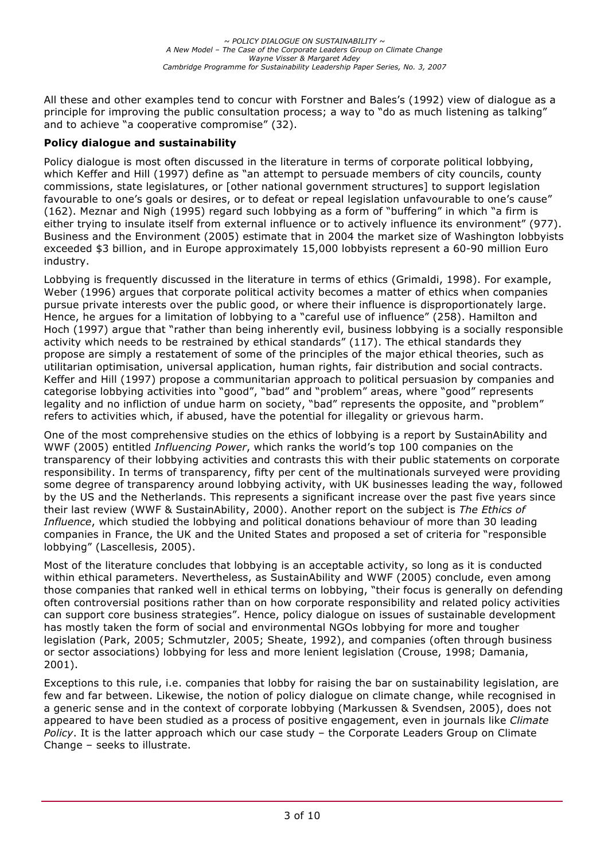All these and other examples tend to concur with Forstner and Bales's (1992) view of dialogue as a principle for improving the public consultation process; a way to "do as much listening as talking" and to achieve "a cooperative compromise" (32).

# **Policy dialogue and sustainability**

Policy dialogue is most often discussed in the literature in terms of corporate political lobbying, which Keffer and Hill (1997) define as "an attempt to persuade members of city councils, county commissions, state legislatures, or [other national government structures] to support legislation favourable to one's goals or desires, or to defeat or repeal legislation unfavourable to one's cause" (162). Meznar and Nigh (1995) regard such lobbying as a form of "buffering" in which "a firm is either trying to insulate itself from external influence or to actively influence its environment" (977). Business and the Environment (2005) estimate that in 2004 the market size of Washington lobbyists exceeded \$3 billion, and in Europe approximately 15,000 lobbyists represent a 60-90 million Euro industry.

Lobbying is frequently discussed in the literature in terms of ethics (Grimaldi, 1998). For example, Weber (1996) argues that corporate political activity becomes a matter of ethics when companies pursue private interests over the public good, or where their influence is disproportionately large. Hence, he argues for a limitation of lobbying to a "careful use of influence" (258). Hamilton and Hoch (1997) argue that "rather than being inherently evil, business lobbying is a socially responsible activity which needs to be restrained by ethical standards" (117). The ethical standards they propose are simply a restatement of some of the principles of the major ethical theories, such as utilitarian optimisation, universal application, human rights, fair distribution and social contracts. Keffer and Hill (1997) propose a communitarian approach to political persuasion by companies and categorise lobbying activities into "good", "bad" and "problem" areas, where "good" represents legality and no infliction of undue harm on society, "bad" represents the opposite, and "problem" refers to activities which, if abused, have the potential for illegality or grievous harm.

One of the most comprehensive studies on the ethics of lobbying is a report by SustainAbility and WWF (2005) entitled *Influencing Power*, which ranks the world's top 100 companies on the transparency of their lobbying activities and contrasts this with their public statements on corporate responsibility. In terms of transparency, fifty per cent of the multinationals surveyed were providing some degree of transparency around lobbying activity, with UK businesses leading the way, followed by the US and the Netherlands. This represents a significant increase over the past five years since their last review (WWF & SustainAbility, 2000). Another report on the subject is *The Ethics of Influence*, which studied the lobbying and political donations behaviour of more than 30 leading companies in France, the UK and the United States and proposed a set of criteria for "responsible lobbying" (Lascellesis, 2005).

Most of the literature concludes that lobbying is an acceptable activity, so long as it is conducted within ethical parameters. Nevertheless, as SustainAbility and WWF (2005) conclude, even among those companies that ranked well in ethical terms on lobbying, "their focus is generally on defending often controversial positions rather than on how corporate responsibility and related policy activities can support core business strategies". Hence, policy dialogue on issues of sustainable development has mostly taken the form of social and environmental NGOs lobbying for more and tougher legislation (Park, 2005; Schmutzler, 2005; Sheate, 1992), and companies (often through business or sector associations) lobbying for less and more lenient legislation (Crouse, 1998; Damania, 2001).

Exceptions to this rule, i.e. companies that lobby for raising the bar on sustainability legislation, are few and far between. Likewise, the notion of policy dialogue on climate change, while recognised in a generic sense and in the context of corporate lobbying (Markussen & Svendsen, 2005), does not appeared to have been studied as a process of positive engagement, even in journals like *Climate Policy*. It is the latter approach which our case study – the Corporate Leaders Group on Climate Change – seeks to illustrate.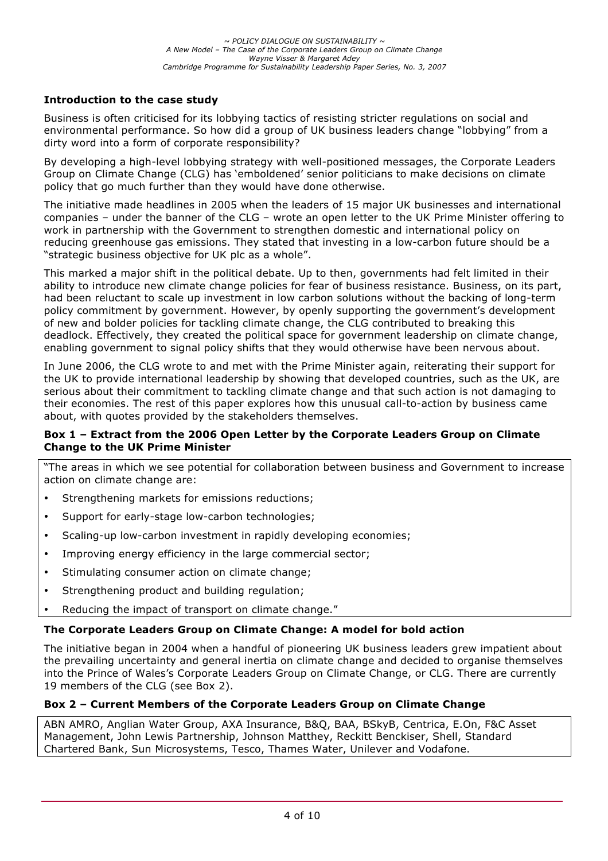# **Introduction to the case study**

Business is often criticised for its lobbying tactics of resisting stricter regulations on social and environmental performance. So how did a group of UK business leaders change "lobbying" from a dirty word into a form of corporate responsibility?

By developing a high-level lobbying strategy with well-positioned messages, the Corporate Leaders Group on Climate Change (CLG) has 'emboldened' senior politicians to make decisions on climate policy that go much further than they would have done otherwise.

The initiative made headlines in 2005 when the leaders of 15 major UK businesses and international companies – under the banner of the CLG – wrote an open letter to the UK Prime Minister offering to work in partnership with the Government to strengthen domestic and international policy on reducing greenhouse gas emissions. They stated that investing in a low-carbon future should be a "strategic business objective for UK plc as a whole".

This marked a major shift in the political debate. Up to then, governments had felt limited in their ability to introduce new climate change policies for fear of business resistance. Business, on its part, had been reluctant to scale up investment in low carbon solutions without the backing of long-term policy commitment by government. However, by openly supporting the government's development of new and bolder policies for tackling climate change, the CLG contributed to breaking this deadlock. Effectively, they created the political space for government leadership on climate change, enabling government to signal policy shifts that they would otherwise have been nervous about.

In June 2006, the CLG wrote to and met with the Prime Minister again, reiterating their support for the UK to provide international leadership by showing that developed countries, such as the UK, are serious about their commitment to tackling climate change and that such action is not damaging to their economies. The rest of this paper explores how this unusual call-to-action by business came about, with quotes provided by the stakeholders themselves.

### **Box 1 – Extract from the 2006 Open Letter by the Corporate Leaders Group on Climate Change to the UK Prime Minister**

"The areas in which we see potential for collaboration between business and Government to increase action on climate change are:

- Strengthening markets for emissions reductions;
- Support for early-stage low-carbon technologies;
- Scaling-up low-carbon investment in rapidly developing economies;
- Improving energy efficiency in the large commercial sector;
- Stimulating consumer action on climate change;
- Strengthening product and building regulation;
- Reducing the impact of transport on climate change."

#### **The Corporate Leaders Group on Climate Change: A model for bold action**

The initiative began in 2004 when a handful of pioneering UK business leaders grew impatient about the prevailing uncertainty and general inertia on climate change and decided to organise themselves into the Prince of Wales's Corporate Leaders Group on Climate Change, or CLG. There are currently 19 members of the CLG (see Box 2).

#### **Box 2 – Current Members of the Corporate Leaders Group on Climate Change**

ABN AMRO, Anglian Water Group, AXA Insurance, B&Q, BAA, BSkyB, Centrica, E.On, F&C Asset Management, John Lewis Partnership, Johnson Matthey, Reckitt Benckiser, Shell, Standard Chartered Bank, Sun Microsystems, Tesco, Thames Water, Unilever and Vodafone.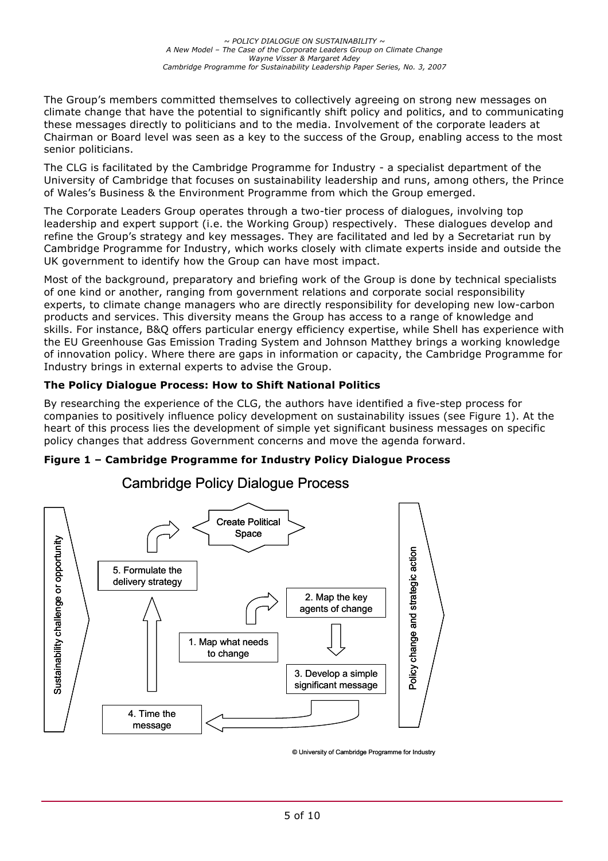The Group's members committed themselves to collectively agreeing on strong new messages on climate change that have the potential to significantly shift policy and politics, and to communicating these messages directly to politicians and to the media. Involvement of the corporate leaders at Chairman or Board level was seen as a key to the success of the Group, enabling access to the most senior politicians.

The CLG is facilitated by the Cambridge Programme for Industry - a specialist department of the University of Cambridge that focuses on sustainability leadership and runs, among others, the Prince of Wales's Business & the Environment Programme from which the Group emerged.

The Corporate Leaders Group operates through a two-tier process of dialogues, involving top leadership and expert support (i.e. the Working Group) respectively. These dialogues develop and refine the Group's strategy and key messages. They are facilitated and led by a Secretariat run by Cambridge Programme for Industry, which works closely with climate experts inside and outside the UK government to identify how the Group can have most impact.

Most of the background, preparatory and briefing work of the Group is done by technical specialists of one kind or another, ranging from government relations and corporate social responsibility experts, to climate change managers who are directly responsibility for developing new low-carbon products and services. This diversity means the Group has access to a range of knowledge and skills. For instance, B&Q offers particular energy efficiency expertise, while Shell has experience with the EU Greenhouse Gas Emission Trading System and Johnson Matthey brings a working knowledge of innovation policy. Where there are gaps in information or capacity, the Cambridge Programme for Industry brings in external experts to advise the Group.

# **The Policy Dialogue Process: How to Shift National Politics**

By researching the experience of the CLG, the authors have identified a five-step process for companies to positively influence policy development on sustainability issues (see Figure 1). At the heart of this process lies the development of simple yet significant business messages on specific policy changes that address Government concerns and move the agenda forward.

# **Figure 1 – Cambridge Programme for Industry Policy Dialogue Process**



# Cambridge Policy Dialogue Process

© University of Cambridge Programme for Industry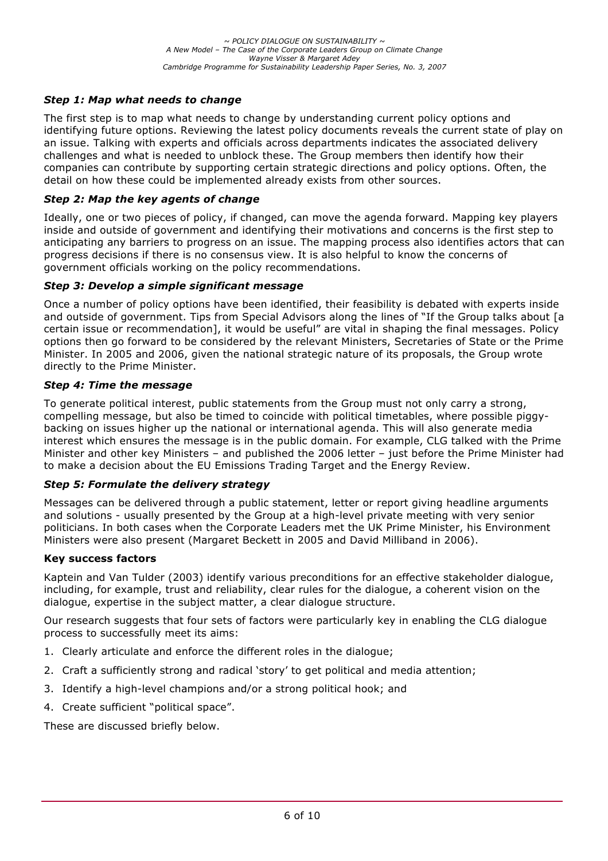# *Step 1: Map what needs to change*

The first step is to map what needs to change by understanding current policy options and identifying future options. Reviewing the latest policy documents reveals the current state of play on an issue. Talking with experts and officials across departments indicates the associated delivery challenges and what is needed to unblock these. The Group members then identify how their companies can contribute by supporting certain strategic directions and policy options. Often, the detail on how these could be implemented already exists from other sources.

### *Step 2: Map the key agents of change*

Ideally, one or two pieces of policy, if changed, can move the agenda forward. Mapping key players inside and outside of government and identifying their motivations and concerns is the first step to anticipating any barriers to progress on an issue. The mapping process also identifies actors that can progress decisions if there is no consensus view. It is also helpful to know the concerns of government officials working on the policy recommendations.

#### *Step 3: Develop a simple significant message*

Once a number of policy options have been identified, their feasibility is debated with experts inside and outside of government. Tips from Special Advisors along the lines of "If the Group talks about [a certain issue or recommendation], it would be useful" are vital in shaping the final messages. Policy options then go forward to be considered by the relevant Ministers, Secretaries of State or the Prime Minister. In 2005 and 2006, given the national strategic nature of its proposals, the Group wrote directly to the Prime Minister.

### *Step 4: Time the message*

To generate political interest, public statements from the Group must not only carry a strong, compelling message, but also be timed to coincide with political timetables, where possible piggybacking on issues higher up the national or international agenda. This will also generate media interest which ensures the message is in the public domain. For example, CLG talked with the Prime Minister and other key Ministers – and published the 2006 letter – just before the Prime Minister had to make a decision about the EU Emissions Trading Target and the Energy Review.

#### *Step 5: Formulate the delivery strategy*

Messages can be delivered through a public statement, letter or report giving headline arguments and solutions - usually presented by the Group at a high-level private meeting with very senior politicians. In both cases when the Corporate Leaders met the UK Prime Minister, his Environment Ministers were also present (Margaret Beckett in 2005 and David Milliband in 2006).

#### **Key success factors**

Kaptein and Van Tulder (2003) identify various preconditions for an effective stakeholder dialogue, including, for example, trust and reliability, clear rules for the dialogue, a coherent vision on the dialogue, expertise in the subject matter, a clear dialogue structure.

Our research suggests that four sets of factors were particularly key in enabling the CLG dialogue process to successfully meet its aims:

- 1. Clearly articulate and enforce the different roles in the dialogue;
- 2. Craft a sufficiently strong and radical 'story' to get political and media attention;
- 3. Identify a high-level champions and/or a strong political hook; and
- 4. Create sufficient "political space".

These are discussed briefly below.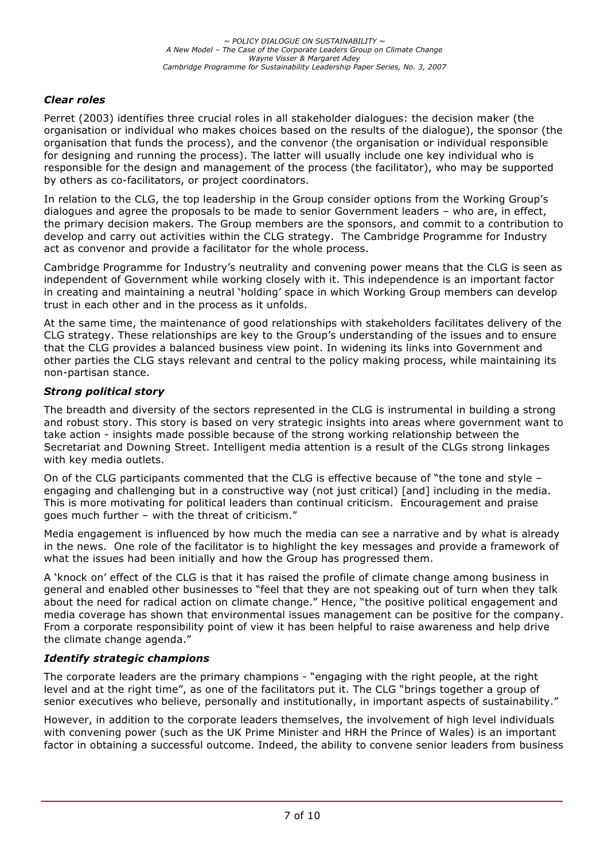# *Clear roles*

Perret (2003) identifies three crucial roles in all stakeholder dialogues: the decision maker (the organisation or individual who makes choices based on the results of the dialogue), the sponsor (the organisation that funds the process), and the convenor (the organisation or individual responsible for designing and running the process). The latter will usually include one key individual who is responsible for the design and management of the process (the facilitator), who may be supported by others as co-facilitators, or project coordinators.

In relation to the CLG, the top leadership in the Group consider options from the Working Group's dialogues and agree the proposals to be made to senior Government leaders – who are, in effect, the primary decision makers. The Group members are the sponsors, and commit to a contribution to develop and carry out activities within the CLG strategy. The Cambridge Programme for Industry act as convenor and provide a facilitator for the whole process.

Cambridge Programme for Industry's neutrality and convening power means that the CLG is seen as independent of Government while working closely with it. This independence is an important factor in creating and maintaining a neutral 'holding' space in which Working Group members can develop trust in each other and in the process as it unfolds.

At the same time, the maintenance of good relationships with stakeholders facilitates delivery of the CLG strategy. These relationships are key to the Group's understanding of the issues and to ensure that the CLG provides a balanced business view point. In widening its links into Government and other parties the CLG stays relevant and central to the policy making process, while maintaining its non-partisan stance.

### *Strong political story*

The breadth and diversity of the sectors represented in the CLG is instrumental in building a strong and robust story. This story is based on very strategic insights into areas where government want to take action - insights made possible because of the strong working relationship between the Secretariat and Downing Street. Intelligent media attention is a result of the CLGs strong linkages with key media outlets.

On of the CLG participants commented that the CLG is effective because of "the tone and style – engaging and challenging but in a constructive way (not just critical) [and] including in the media. This is more motivating for political leaders than continual criticism. Encouragement and praise goes much further – with the threat of criticism."

Media engagement is influenced by how much the media can see a narrative and by what is already in the news. One role of the facilitator is to highlight the key messages and provide a framework of what the issues had been initially and how the Group has progressed them.

A 'knock on' effect of the CLG is that it has raised the profile of climate change among business in general and enabled other businesses to "feel that they are not speaking out of turn when they talk about the need for radical action on climate change." Hence, "the positive political engagement and media coverage has shown that environmental issues management can be positive for the company. From a corporate responsibility point of view it has been helpful to raise awareness and help drive the climate change agenda."

#### *Identify strategic champions*

The corporate leaders are the primary champions - "engaging with the right people, at the right level and at the right time", as one of the facilitators put it. The CLG "brings together a group of senior executives who believe, personally and institutionally, in important aspects of sustainability."

However, in addition to the corporate leaders themselves, the involvement of high level individuals with convening power (such as the UK Prime Minister and HRH the Prince of Wales) is an important factor in obtaining a successful outcome. Indeed, the ability to convene senior leaders from business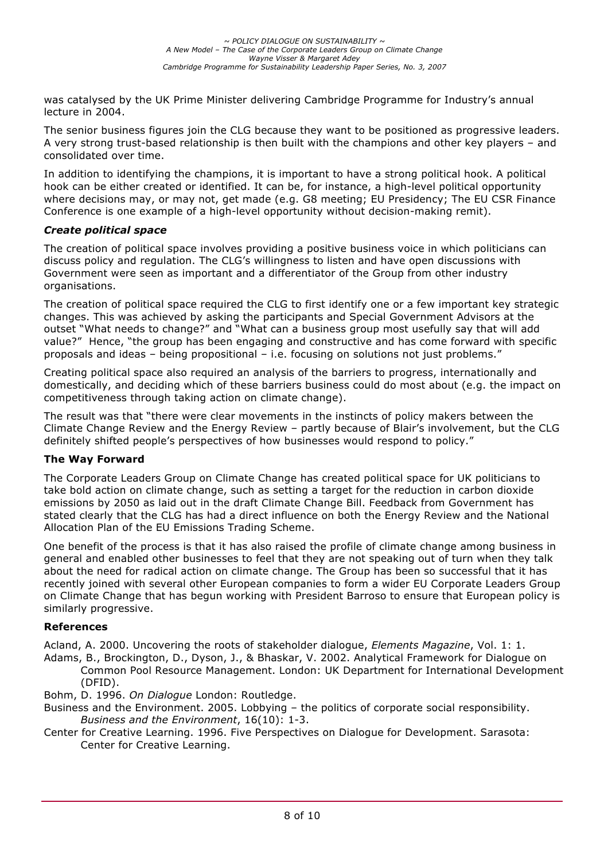was catalysed by the UK Prime Minister delivering Cambridge Programme for Industry's annual lecture in 2004.

The senior business figures join the CLG because they want to be positioned as progressive leaders. A very strong trust-based relationship is then built with the champions and other key players – and consolidated over time.

In addition to identifying the champions, it is important to have a strong political hook. A political hook can be either created or identified. It can be, for instance, a high-level political opportunity where decisions may, or may not, get made (e.g. G8 meeting; EU Presidency; The EU CSR Finance Conference is one example of a high-level opportunity without decision-making remit).

### *Create political space*

The creation of political space involves providing a positive business voice in which politicians can discuss policy and regulation. The CLG's willingness to listen and have open discussions with Government were seen as important and a differentiator of the Group from other industry organisations.

The creation of political space required the CLG to first identify one or a few important key strategic changes. This was achieved by asking the participants and Special Government Advisors at the outset "What needs to change?" and "What can a business group most usefully say that will add value?" Hence, "the group has been engaging and constructive and has come forward with specific proposals and ideas – being propositional – i.e. focusing on solutions not just problems."

Creating political space also required an analysis of the barriers to progress, internationally and domestically, and deciding which of these barriers business could do most about (e.g. the impact on competitiveness through taking action on climate change).

The result was that "there were clear movements in the instincts of policy makers between the Climate Change Review and the Energy Review – partly because of Blair's involvement, but the CLG definitely shifted people's perspectives of how businesses would respond to policy."

#### **The Way Forward**

The Corporate Leaders Group on Climate Change has created political space for UK politicians to take bold action on climate change, such as setting a target for the reduction in carbon dioxide emissions by 2050 as laid out in the draft Climate Change Bill. Feedback from Government has stated clearly that the CLG has had a direct influence on both the Energy Review and the National Allocation Plan of the EU Emissions Trading Scheme.

One benefit of the process is that it has also raised the profile of climate change among business in general and enabled other businesses to feel that they are not speaking out of turn when they talk about the need for radical action on climate change. The Group has been so successful that it has recently joined with several other European companies to form a wider EU Corporate Leaders Group on Climate Change that has begun working with President Barroso to ensure that European policy is similarly progressive.

#### **References**

Acland, A. 2000. Uncovering the roots of stakeholder dialogue, *Elements Magazine*, Vol. 1: 1.

- Adams, B., Brockington, D., Dyson, J., & Bhaskar, V. 2002. Analytical Framework for Dialogue on Common Pool Resource Management. London: UK Department for International Development (DFID).
- Bohm, D. 1996. *On Dialogue* London: Routledge.
- Business and the Environment. 2005. Lobbying the politics of corporate social responsibility. *Business and the Environment*, 16(10): 1-3.
- Center for Creative Learning. 1996. Five Perspectives on Dialogue for Development. Sarasota: Center for Creative Learning.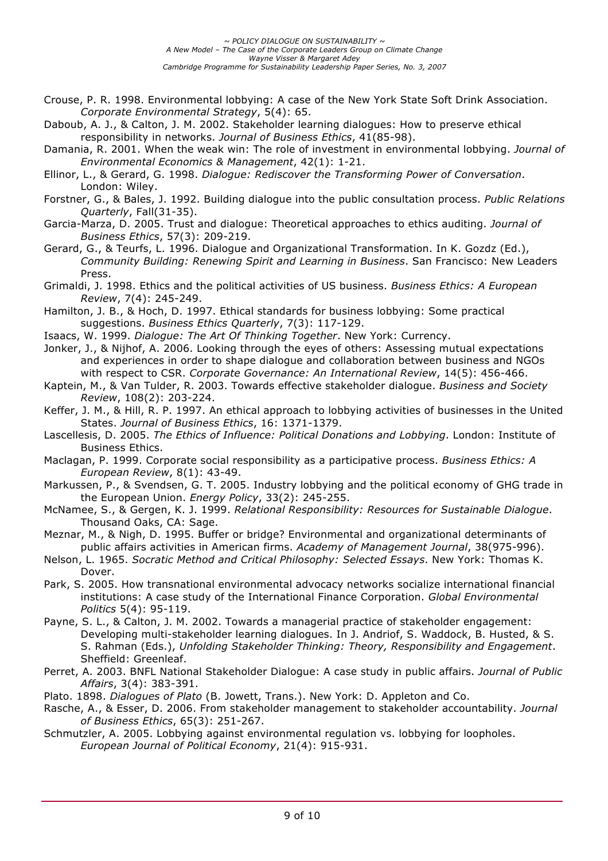- Crouse, P. R. 1998. Environmental lobbying: A case of the New York State Soft Drink Association. *Corporate Environmental Strategy*, 5(4): 65.
- Daboub, A. J., & Calton, J. M. 2002. Stakeholder learning dialogues: How to preserve ethical responsibility in networks. *Journal of Business Ethics*, 41(85-98).
- Damania, R. 2001. When the weak win: The role of investment in environmental lobbying. *Journal of Environmental Economics & Management*, 42(1): 1-21.
- Ellinor, L., & Gerard, G. 1998. *Dialogue: Rediscover the Transforming Power of Conversation*. London: Wiley.
- Forstner, G., & Bales, J. 1992. Building dialogue into the public consultation process. *Public Relations Quarterly*, Fall(31-35).
- Garcia-Marza, D. 2005. Trust and dialogue: Theoretical approaches to ethics auditing. *Journal of Business Ethics*, 57(3): 209-219.
- Gerard, G., & Teurfs, L. 1996. Dialogue and Organizational Transformation. In K. Gozdz (Ed.), *Community Building: Renewing Spirit and Learning in Business*. San Francisco: New Leaders Press.
- Grimaldi, J. 1998. Ethics and the political activities of US business. *Business Ethics: A European Review*, 7(4): 245-249.
- Hamilton, J. B., & Hoch, D. 1997. Ethical standards for business lobbying: Some practical suggestions. *Business Ethics Quarterly*, 7(3): 117-129.
- Isaacs, W. 1999. *Dialogue: The Art Of Thinking Together*. New York: Currency.
- Jonker, J., & Nijhof, A. 2006. Looking through the eyes of others: Assessing mutual expectations and experiences in order to shape dialogue and collaboration between business and NGOs with respect to CSR. *Corporate Governance: An International Review*, 14(5): 456-466.
- Kaptein, M., & Van Tulder, R. 2003. Towards effective stakeholder dialogue. *Business and Society Review*, 108(2): 203-224.
- Keffer, J. M., & Hill, R. P. 1997. An ethical approach to lobbying activities of businesses in the United States. *Journal of Business Ethics*, 16: 1371-1379.
- Lascellesis, D. 2005. *The Ethics of Influence: Political Donations and Lobbying*. London: Institute of Business Ethics.
- Maclagan, P. 1999. Corporate social responsibility as a participative process. *Business Ethics: A European Review*, 8(1): 43-49.
- Markussen, P., & Svendsen, G. T. 2005. Industry lobbying and the political economy of GHG trade in the European Union. *Energy Policy*, 33(2): 245-255.
- McNamee, S., & Gergen, K. J. 1999. *Relational Responsibility: Resources for Sustainable Dialogue*. Thousand Oaks, CA: Sage.
- Meznar, M., & Nigh, D. 1995. Buffer or bridge? Environmental and organizational determinants of public affairs activities in American firms. *Academy of Management Journal*, 38(975-996).
- Nelson, L. 1965. *Socratic Method and Critical Philosophy: Selected Essays*. New York: Thomas K. Dover.
- Park, S. 2005. How transnational environmental advocacy networks socialize international financial institutions: A case study of the International Finance Corporation. *Global Environmental Politics* 5(4): 95-119.
- Payne, S. L., & Calton, J. M. 2002. Towards a managerial practice of stakeholder engagement: Developing multi-stakeholder learning dialogues. In J. Andriof, S. Waddock, B. Husted, & S. S. Rahman (Eds.), *Unfolding Stakeholder Thinking: Theory, Responsibility and Engagement*. Sheffield: Greenleaf.
- Perret, A. 2003. BNFL National Stakeholder Dialogue: A case study in public affairs. *Journal of Public Affairs*, 3(4): 383-391.
- Plato. 1898. *Dialogues of Plato* (B. Jowett, Trans.). New York: D. Appleton and Co.
- Rasche, A., & Esser, D. 2006. From stakeholder management to stakeholder accountability. *Journal of Business Ethics*, 65(3): 251-267.
- Schmutzler, A. 2005. Lobbying against environmental regulation vs. lobbying for loopholes. *European Journal of Political Economy*, 21(4): 915-931.